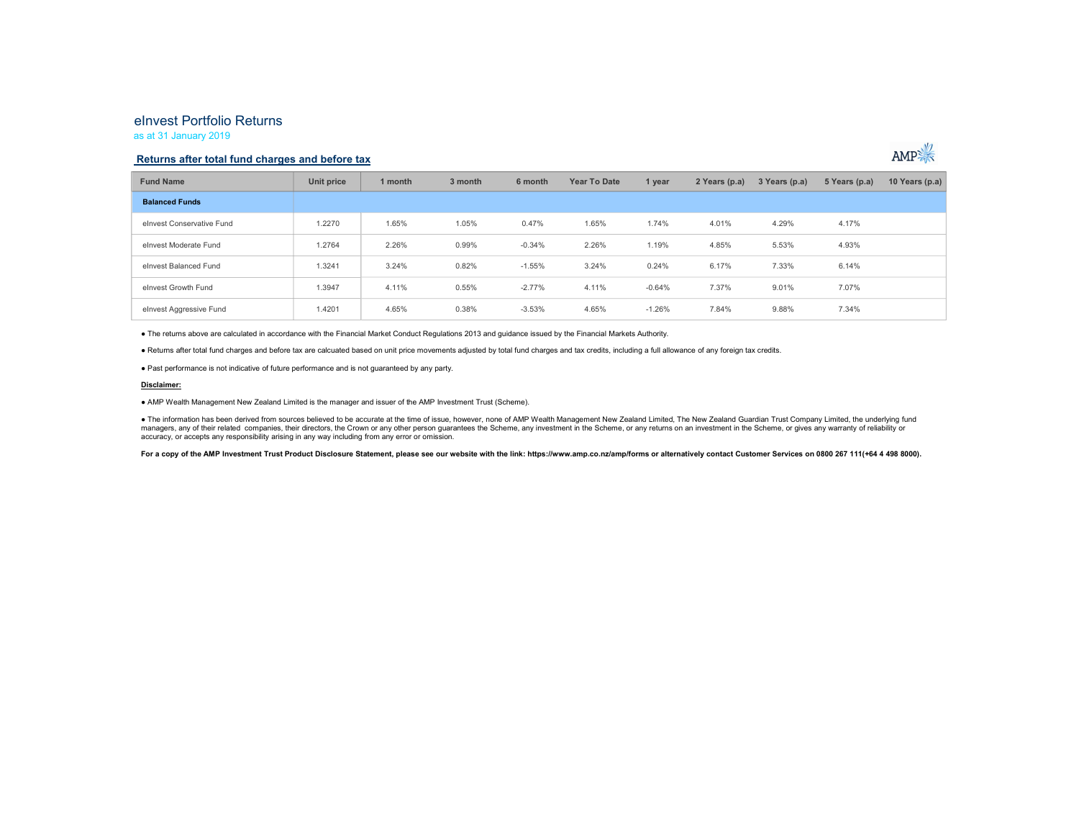# eInvest Portfolio Returns

as at 31 January 2019

## Returns after total fund charges and before tax



● The returns above are calculated in accordance with the Financial Market Conduct Regulations 2013 and guidance issued by the Financial Markets Authority.<br>● Returns after total fund charges and before tax are calcuated b

#### Disclaimer:

● AMP Wealth Management New Zealand Limited is the manager and issuer of the AMP Investment Trust (Scheme).

● The information has been derived from sources believed to be accurate at the time of issue, however, none of AMP Wealth Management New Zealand Limited, The New Zealand Guardian Trust Company Limited, the underlying fund managers, any of their related companies, their directors, the Crown or any other person guarantees the Scheme, any investment in the Scheme, or any returns on an investment in the Scheme, or gives any warranty of reliabil accuracy, or accepts any responsibility arising in any way including from any error or omission.

For a copy of the AMP Investment Trust Product Disclosure Statement, please see our website with the link: https://www.amp.co.nz/amp/forms or alternatively contact Customer Services on 0800 267 111(+64 4 498 8000).